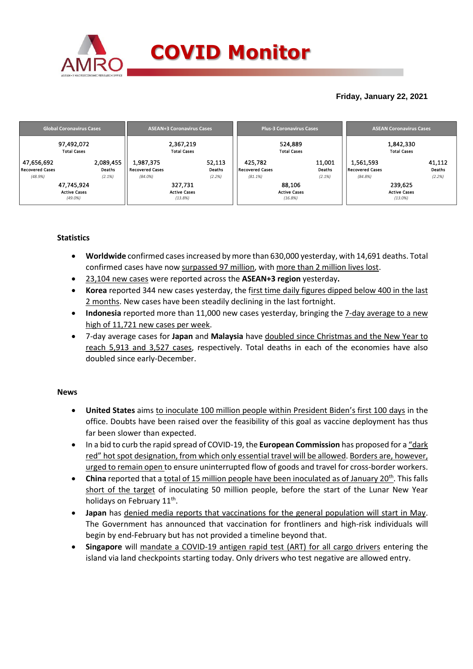

## **Friday, January 22, 2021**

|                                                 | <b>Global Coronavirus Cases</b>                                                 |                                                   | <b>ASEAN+3 Coronavirus Cases</b>                                         |                                          | <b>Plus-3 Coronavirus Cases</b>                                       | <b>ASEAN Coronavirus Cases</b>                    |                                                                          |  |  |
|-------------------------------------------------|---------------------------------------------------------------------------------|---------------------------------------------------|--------------------------------------------------------------------------|------------------------------------------|-----------------------------------------------------------------------|---------------------------------------------------|--------------------------------------------------------------------------|--|--|
| 47,656,692<br><b>Recovered Cases</b><br>(48.9%) | 97,492,072<br><b>Total Cases</b><br>2,089,455<br>Deaths<br>(2.1%)<br>47,745,924 | 1,987,375<br><b>Recovered Cases</b><br>$(84.0\%)$ | 2,367,219<br><b>Total Cases</b><br>52,113<br>Deaths<br>(2.2%)<br>327,731 | 425,782<br>Recovered Cases<br>$(81.1\%)$ | 524,889<br><b>Total Cases</b><br>11,001<br>Deaths<br>(2.1%)<br>88,106 | 1,561,593<br><b>Recovered Cases</b><br>$(84.8\%)$ | 1,842,330<br><b>Total Cases</b><br>41,112<br>Deaths<br>(2.2%)<br>239,625 |  |  |
|                                                 | <b>Active Cases</b><br>$(49.0\%)$                                               |                                                   | <b>Active Cases</b><br>(13.8%)                                           |                                          | <b>Active Cases</b><br>(16.8%)                                        |                                                   | <b>Active Cases</b><br>$(13.0\%)$                                        |  |  |

### **Statistics**

- **Worldwide** confirmed cases increased by more than 630,000 yesterday, with 14,691 deaths. Total confirmed cases have now surpassed 97 million, with more than 2 million lives lost.
- 23,104 new cases were reported across the **ASEAN+3 region** yesterday**.**
- **Korea** reported 344 new cases yesterday, the first time daily figures dipped below 400 in the last 2 months. New cases have been steadily declining in the last fortnight.
- **Indonesia** reported more than 11,000 new cases yesterday, bringing the 7-day average to a new high of 11,721 new cases per week.
- 7-day average cases for **Japan** and **Malaysia** have doubled since Christmas and the New Year to reach 5,913 and 3,527 cases, respectively. Total deaths in each of the economies have also doubled since early-December.

### **News**

- **United States** aims to inoculate 100 million people within President Biden's first 100 days in the office. Doubts have been raised over the feasibility of this goal as vaccine deployment has thus far been slower than expected.
- In a bid to curb the rapid spread of COVID-19, the **European Commission** has proposed for a "dark red" hot spot designation, from which only essential travel will be allowed. Borders are, however, urged to remain open to ensure uninterrupted flow of goods and travel for cross-border workers.
- **China** reported that a total of 15 million people have been inoculated as of January 20<sup>th</sup>. This falls short of the target of inoculating 50 million people, before the start of the Lunar New Year holidays on February 11<sup>th</sup>.
- **Japan** has denied media reports that vaccinations for the general population will start in May. The Government has announced that vaccination for frontliners and high-risk individuals will begin by end-February but has not provided a timeline beyond that.
- **Singapore** will mandate a COVID-19 antigen rapid test (ART) for all cargo drivers entering the island via land checkpoints starting today. Only drivers who test negative are allowed entry.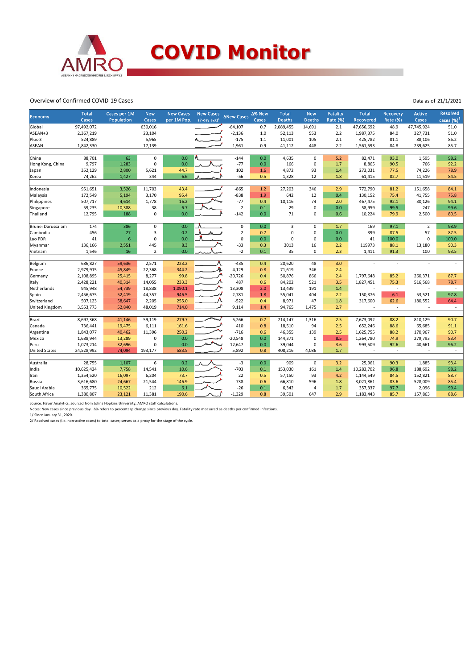

#### Overview of Confirmed COVID-19 Cases

| Economy              | <b>Total</b><br>Cases | Cases per 1M<br>Population | <b>New</b><br>Cases | <b>New Cases</b><br>per 1M Pop. | <b>New Cases</b><br>$(7$ -day avg) <sup>1</sup> | <b>∆New Cases</b> | ∆% New<br>Cases | <b>Total</b><br><b>Deaths</b> | <b>New</b><br><b>Deaths</b> | <b>Fatality</b><br>Rate (%) | <b>Total</b><br><b>Recovered</b> | <b>Recovery</b><br><b>Rate (%)</b> | <b>Active</b><br>Cases | Resolved<br>cases $(\%)^2$ |
|----------------------|-----------------------|----------------------------|---------------------|---------------------------------|-------------------------------------------------|-------------------|-----------------|-------------------------------|-----------------------------|-----------------------------|----------------------------------|------------------------------------|------------------------|----------------------------|
| Global               | 97,492,072            |                            | 630,016             |                                 |                                                 | $-64,107$         | 0.7             | 2,089,455                     | 14,691                      | 2.1                         | 47,656,692                       | 48.9                               | 47,745,924             | 51.0                       |
| ASEAN+3              | 2,367,219             |                            | 23,104              |                                 |                                                 | $-2,136$          | 1.0             | 52,113                        | 553                         | 2.2                         | 1,987,375                        | 84.0                               | 327,731                | 51.0                       |
| Plus-3               | 524,889               |                            | 5,965               |                                 |                                                 | $-175$            | 1.1             | 11,001                        | 105                         | 2.1                         | 425,782                          | 81.1                               | 88,106                 | 86.2                       |
| <b>ASEAN</b>         | 1,842,330             |                            | 17,139              |                                 |                                                 | $-1,961$          | 0.9             | 41,112                        | 448                         | 2.2                         | 1,561,593                        | 84.8                               | 239,625                | 85.7                       |
|                      |                       |                            |                     |                                 |                                                 |                   |                 |                               |                             |                             |                                  |                                    |                        |                            |
| China                | 88,701                | 63                         | 0                   | 0.0                             |                                                 | $-144$            | 0.0             | 4,635                         | $\mathbf 0$                 | 5.2                         | 82,471                           | 93.0                               | 1,595                  | 98.2                       |
| Hong Kong, China     | 9,797                 | 1,283                      | $\mathbf 0$         | 0.0                             |                                                 | $-77$             | 0.0             | 166                           | 0                           | 1.7                         | 8,865                            | 90.5                               | 766                    | 92.2                       |
| Japan                | 352,129               | 2,800                      | 5,621               | 44.7                            |                                                 | 102               | 1.6             | 4,872                         | 93                          | 1.4                         | 273,031                          | 77.5                               | 74,226                 | 78.9                       |
| Korea                | 74,262                | 1,427                      | 344                 | 6.6                             |                                                 | $-56$             | 0.5             | 1,328                         | 12                          | 1.8                         | 61,415                           | 82.7                               | 11,519                 | 84.5                       |
| Indonesia            | 951,651               | 3,526                      | 11,703              | 43.4                            |                                                 | $-865$            | $1.2$           | 27,203                        | 346                         | 2.9                         | 772,790                          | 81.2                               | 151,658                | 84.1                       |
| Malaysia             | 172,549               | 5,194                      | 3,170               | 95.4                            |                                                 | $-838$            | 1.9             | 642                           | 12                          | 0.4                         | 130,152                          | 75.4                               | 41,755                 | 75.8                       |
| Philippines          | 507,717               | 4,614                      | 1,778               | 16.2                            |                                                 | $-77$             | 0.4             | 10,116                        | 74                          | 2.0                         | 467,475                          | 92.1                               | 30,126                 | 94.1                       |
| Singapore            | 59,235                | 10,388                     | 38                  | 6.7                             |                                                 | $-2$              | 0.1             | 29                            | 0                           | 0.0                         | 58,959                           | 99.5                               | 247                    | 99.6                       |
| Thailand             | 12,795                | 188                        | $\mathbf 0$         | 0.0                             |                                                 | $-142$            | 0.0             | 71                            | 0                           | 0.6                         | 10,224                           | 79.9                               | 2,500                  | 80.5                       |
|                      |                       |                            |                     |                                 |                                                 |                   |                 |                               |                             |                             |                                  |                                    |                        |                            |
| Brunei Darussalam    | 174                   | 386                        | $\mathbf 0$         | 0.0                             |                                                 | $\mathbf 0$       | 0.0             | 3                             | $\mathbf 0$                 | 1.7                         | 169                              | 97.1                               | $\overline{2}$         | 98.9                       |
| Cambodia             | 456                   | 27                         | $\overline{3}$      | 0.2                             |                                                 | $-2$              | 0.7             | 0                             | 0                           | 0.0                         | 399                              | 87.5                               | 57                     | 87.5                       |
| Lao PDR              | 41                    | $6\phantom{a}$             | $\mathbf 0$         | 0.0                             |                                                 | $\pmb{0}$         | 0.0             | $\Omega$                      | 0                           | 0.0                         | 41                               | 100.0                              | $\Omega$               | 100.0                      |
| Myanmar              | 136,166               | 2,551                      | 445                 | 8.3                             |                                                 | $-33$             | 0.3             | 3013                          | 16                          | 2.2                         | 119973                           | 88.1                               | 13,180                 | 90.3                       |
| Vietnam              | 1,546                 | 16                         | $\overline{2}$      | 0.0                             |                                                 | $-2$              | 0.1             | 35                            | 0                           | 2.3                         | 1,411                            | 91.3                               | 100                    | 93.5                       |
|                      | 686,827               |                            | 2,571               | 223.2                           |                                                 | $-435$            | 0.4             |                               | 48                          | 3.0                         |                                  |                                    |                        |                            |
| Belgium              |                       | 59,636                     |                     |                                 |                                                 |                   |                 | 20,620                        |                             |                             |                                  |                                    |                        |                            |
| France               | 2,979,915             | 45,849                     | 22,368              | 344.2                           |                                                 | $-4,129$          | 0.8             | 71,619                        | 346                         | 2.4                         |                                  |                                    |                        |                            |
| Germany              | 2,108,895             | 25,415                     | 8,277               | 99.8                            |                                                 | $-20,726$         | 0.4             | 50,876                        | 866                         | 2.4                         | 1,797,648                        | 85.2                               | 260,371                | 87.7                       |
| Italy                | 2,428,221             | 40,314                     | 14,055              | 233.3                           |                                                 | 487               | 0.6             | 84,202                        | 521                         | 3.5                         | 1,827,451                        | 75.3                               | 516,568                | 78.7                       |
| Netherlands          | 945,948               | 54,739                     | 18,838              | 1,090.1                         |                                                 | 13,308            | 2.0             | 13,439                        | 191                         | 1.4                         |                                  | $\overline{\phantom{a}}$           |                        | $\overline{\phantom{a}}$   |
| Spain                | 2,456,675             | 52,419                     | 44,357              | 946.5                           |                                                 | 2,781             | 1.8             | 55,041                        | 404                         | 2.2                         | 150,376                          | 6.1                                | 53,521                 | 97.8                       |
| Switzerland          | 507,123               | 58,647                     | 2,205               | 255.0                           |                                                 | $-522$            | 0.4             | 8,971                         | 47                          | 1.8                         | 317,600                          | 62.6                               | 180,552                | 64.4                       |
| United Kingdom       | 3,553,773             | 52,840                     | 48,019              | 714.0                           |                                                 | 9,114             | 1.4             | 94,765                        | 1,475                       | 2.7                         |                                  | $\overline{\phantom{a}}$           |                        | $\sim$                     |
| Brazil               | 8,697,368             | 41,146                     | 59,119              | 279.7                           |                                                 | $-5,266$          | 0.7             | 214,147                       | 1,316                       | 2.5                         | 7,673,092                        | 88.2                               | 810,129                | 90.7                       |
| Canada               | 736,441               | 19,475                     | 6,111               | 161.6                           |                                                 | 410               | 0.8             | 18,510                        | 94                          | 2.5                         | 652,246                          | 88.6                               | 65,685                 | 91.1                       |
| Argentina            | 1,843,077             | 40,462                     | 11,396              | 250.2                           |                                                 | $-716$            | 0.6             | 46,355                        | 139                         | 2.5                         | 1,625,755                        | 88.2                               | 170,967                | 90.7                       |
| Mexico               | 1,688,944             | 13,289                     | $\mathbf 0$         | 0.0                             |                                                 | $-20,548$         | 0.0             | 144,371                       | 0                           | 8.5                         | 1,264,780                        | 74.9                               | 279,793                | 83.4                       |
| Peru                 | 1,073,214             | 32,696                     | 0                   | 0.0                             |                                                 | $-12,647$         | 0.0             | 39,044                        | 0                           | 3.6                         | 993,509                          | 92.6                               | 40,661                 | 96.2                       |
| <b>United States</b> | 24,528,992            | 74,094                     | 193,177             | 583.5                           |                                                 | 5,892             | 0.8             | 408,216                       | 4,086                       | 1.7                         |                                  | $\sim$                             | $\sim$                 | $\sim$                     |
|                      |                       |                            |                     |                                 |                                                 |                   |                 |                               |                             |                             |                                  |                                    |                        |                            |
| Australia            | 28,755                | 1,107                      | 6                   | 0.2                             |                                                 | $-3$              | 0.0             | 909                           | $\mathbf 0$                 | 3.2                         | 25,961                           | 90.3                               | 1,885                  | 93.4                       |
| India                | 10,625,424            | 7,758                      | 14,541              | 10.6                            |                                                 | $-703$            | 0.1             | 153,030                       | 161                         | 1.4                         | 10,283,702                       | 96.8                               | 188,692                | 98.2                       |
| Iran                 | 1,354,520             | 16,097                     | 6,204               | 73.7                            |                                                 | 22                | 0.5             | 57,150                        | 93                          | 4.2                         | 1,144,549                        | 84.5                               | 152,821                | 88.7                       |
| Russia               | 3,616,680             | 24,667                     | 21,544              | 146.9                           |                                                 | 738               | 0.6             | 66,810                        | 596                         | 1.8                         | 3,021,861                        | 83.6                               | 528,009                | 85.4                       |
| Saudi Arabia         | 365,775               | 10,522                     | 212                 | 6.1                             |                                                 | $-26$             | 0.1             | 6,342                         | 4                           | 1.7                         | 357,337                          | 97.7                               | 2,096                  | 99.4                       |
| South Africa         | 1,380,807             | 23,121                     | 11,381              | 190.6                           |                                                 | $-1,329$          | 0.8             | 39,501                        | 647                         | 2.9                         | 1,183,443                        | 85.7                               | 157,863                | 88.6                       |

Data as of 21/1/2021

Source: Haver Analytics, sourced from Johns Hopkins University; AMRO staff calculations.<br>Notes: New cases since previous day. ∆% refers to percentage change since previous day. Fatality rate measured as deaths per confirm

1/ Since January 31, 2020.

2/ Resolved cases (i.e. non-active cases) to total cases; serves as a proxy for the stage of the cycle.